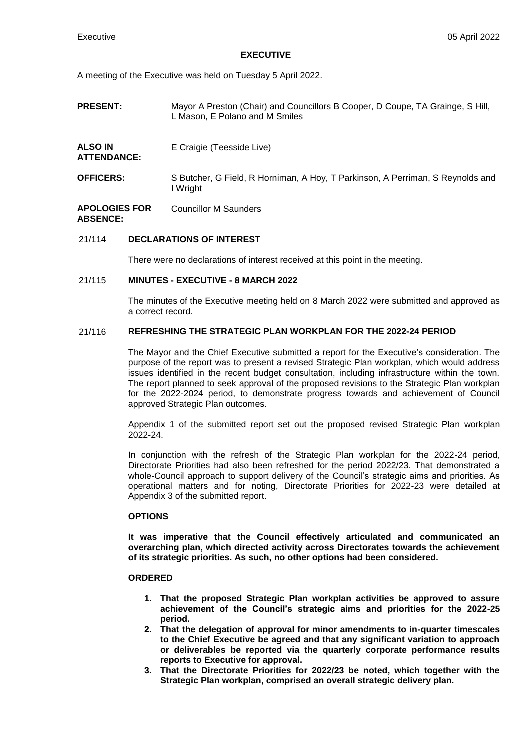#### **EXECUTIVE**

A meeting of the Executive was held on Tuesday 5 April 2022.

- **PRESENT:** Mayor A Preston (Chair) and Councillors B Cooper, D Coupe, TA Grainge, S Hill, L Mason, E Polano and M Smiles
- **ALSO IN ATTENDANCE:** E Craigie (Teesside Live)
- **OFFICERS:** S Butcher, G Field, R Horniman, A Hoy, T Parkinson, A Perriman, S Reynolds and I Wright

#### **APOLOGIES FOR ABSENCE:** Councillor M Saunders

# 21/114 **DECLARATIONS OF INTEREST**

There were no declarations of interest received at this point in the meeting.

## 21/115 **MINUTES - EXECUTIVE - 8 MARCH 2022**

The minutes of the Executive meeting held on 8 March 2022 were submitted and approved as a correct record.

# 21/116 **REFRESHING THE STRATEGIC PLAN WORKPLAN FOR THE 2022-24 PERIOD**

The Mayor and the Chief Executive submitted a report for the Executive's consideration. The purpose of the report was to present a revised Strategic Plan workplan, which would address issues identified in the recent budget consultation, including infrastructure within the town. The report planned to seek approval of the proposed revisions to the Strategic Plan workplan for the 2022-2024 period, to demonstrate progress towards and achievement of Council approved Strategic Plan outcomes.

Appendix 1 of the submitted report set out the proposed revised Strategic Plan workplan 2022-24.

In conjunction with the refresh of the Strategic Plan workplan for the 2022-24 period, Directorate Priorities had also been refreshed for the period 2022/23. That demonstrated a whole-Council approach to support delivery of the Council's strategic aims and priorities. As operational matters and for noting, Directorate Priorities for 2022-23 were detailed at Appendix 3 of the submitted report.

#### **OPTIONS**

**It was imperative that the Council effectively articulated and communicated an overarching plan, which directed activity across Directorates towards the achievement of its strategic priorities. As such, no other options had been considered.**

#### **ORDERED**

- **1. That the proposed Strategic Plan workplan activities be approved to assure achievement of the Council's strategic aims and priorities for the 2022-25 period.**
- **2. That the delegation of approval for minor amendments to in-quarter timescales to the Chief Executive be agreed and that any significant variation to approach or deliverables be reported via the quarterly corporate performance results reports to Executive for approval.**
- **3. That the Directorate Priorities for 2022/23 be noted, which together with the Strategic Plan workplan, comprised an overall strategic delivery plan.**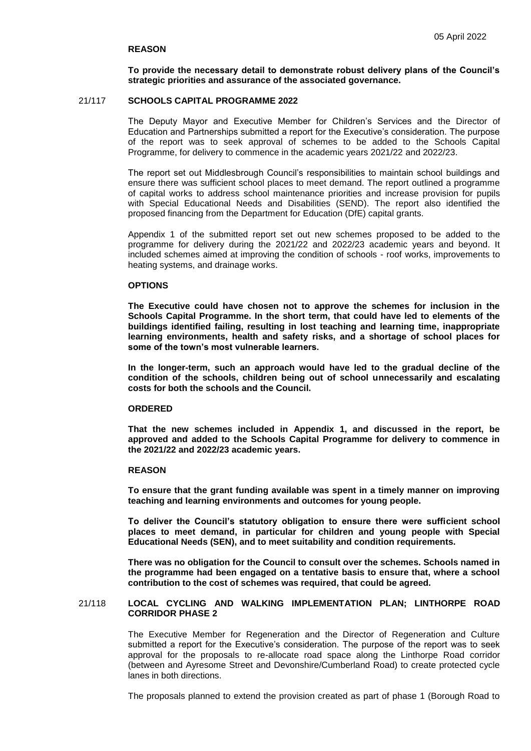### **REASON**

**To provide the necessary detail to demonstrate robust delivery plans of the Council's strategic priorities and assurance of the associated governance.**

## 21/117 **SCHOOLS CAPITAL PROGRAMME 2022**

The Deputy Mayor and Executive Member for Children's Services and the Director of Education and Partnerships submitted a report for the Executive's consideration. The purpose of the report was to seek approval of schemes to be added to the Schools Capital Programme, for delivery to commence in the academic years 2021/22 and 2022/23.

The report set out Middlesbrough Council's responsibilities to maintain school buildings and ensure there was sufficient school places to meet demand. The report outlined a programme of capital works to address school maintenance priorities and increase provision for pupils with Special Educational Needs and Disabilities (SEND). The report also identified the proposed financing from the Department for Education (DfE) capital grants.

Appendix 1 of the submitted report set out new schemes proposed to be added to the programme for delivery during the 2021/22 and 2022/23 academic years and beyond. It included schemes aimed at improving the condition of schools - roof works, improvements to heating systems, and drainage works.

#### **OPTIONS**

**The Executive could have chosen not to approve the schemes for inclusion in the Schools Capital Programme. In the short term, that could have led to elements of the buildings identified failing, resulting in lost teaching and learning time, inappropriate learning environments, health and safety risks, and a shortage of school places for some of the town's most vulnerable learners.**

**In the longer-term, such an approach would have led to the gradual decline of the condition of the schools, children being out of school unnecessarily and escalating costs for both the schools and the Council.**

### **ORDERED**

**That the new schemes included in Appendix 1, and discussed in the report, be approved and added to the Schools Capital Programme for delivery to commence in the 2021/22 and 2022/23 academic years.**

#### **REASON**

**To ensure that the grant funding available was spent in a timely manner on improving teaching and learning environments and outcomes for young people.**

**To deliver the Council's statutory obligation to ensure there were sufficient school places to meet demand, in particular for children and young people with Special Educational Needs (SEN), and to meet suitability and condition requirements.**

**There was no obligation for the Council to consult over the schemes. Schools named in the programme had been engaged on a tentative basis to ensure that, where a school contribution to the cost of schemes was required, that could be agreed.**

## 21/118 **LOCAL CYCLING AND WALKING IMPLEMENTATION PLAN; LINTHORPE ROAD CORRIDOR PHASE 2**

The Executive Member for Regeneration and the Director of Regeneration and Culture submitted a report for the Executive's consideration. The purpose of the report was to seek approval for the proposals to re-allocate road space along the Linthorpe Road corridor (between and Ayresome Street and Devonshire/Cumberland Road) to create protected cycle lanes in both directions.

The proposals planned to extend the provision created as part of phase 1 (Borough Road to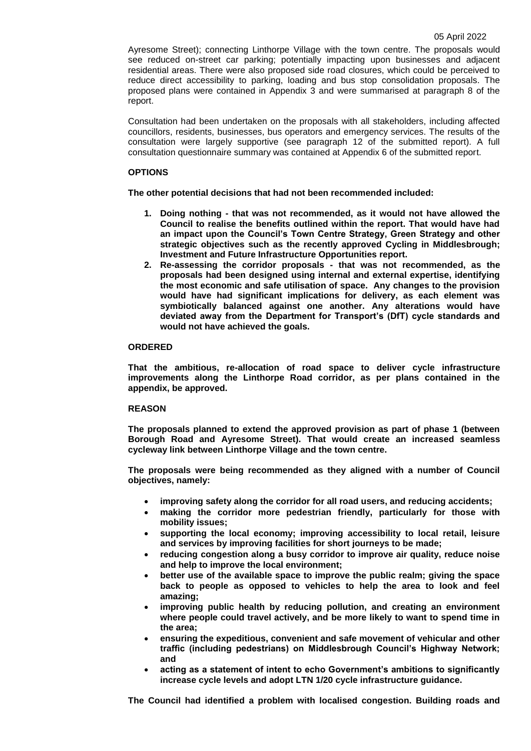Ayresome Street); connecting Linthorpe Village with the town centre. The proposals would see reduced on-street car parking; potentially impacting upon businesses and adjacent residential areas. There were also proposed side road closures, which could be perceived to reduce direct accessibility to parking, loading and bus stop consolidation proposals. The proposed plans were contained in Appendix 3 and were summarised at paragraph 8 of the report.

Consultation had been undertaken on the proposals with all stakeholders, including affected councillors, residents, businesses, bus operators and emergency services. The results of the consultation were largely supportive (see paragraph 12 of the submitted report). A full consultation questionnaire summary was contained at Appendix 6 of the submitted report.

# **OPTIONS**

**The other potential decisions that had not been recommended included:**

- **1. Doing nothing - that was not recommended, as it would not have allowed the Council to realise the benefits outlined within the report. That would have had an impact upon the Council's Town Centre Strategy, Green Strategy and other strategic objectives such as the recently approved Cycling in Middlesbrough; Investment and Future Infrastructure Opportunities report.**
- **2. Re-assessing the corridor proposals - that was not recommended, as the proposals had been designed using internal and external expertise, identifying the most economic and safe utilisation of space. Any changes to the provision would have had significant implications for delivery, as each element was symbiotically balanced against one another. Any alterations would have deviated away from the Department for Transport's (DfT) cycle standards and would not have achieved the goals.**

# **ORDERED**

**That the ambitious, re-allocation of road space to deliver cycle infrastructure improvements along the Linthorpe Road corridor, as per plans contained in the appendix, be approved.**

# **REASON**

**The proposals planned to extend the approved provision as part of phase 1 (between Borough Road and Ayresome Street). That would create an increased seamless cycleway link between Linthorpe Village and the town centre.** 

**The proposals were being recommended as they aligned with a number of Council objectives, namely:**

- **improving safety along the corridor for all road users, and reducing accidents;**
- **making the corridor more pedestrian friendly, particularly for those with mobility issues;**
- **supporting the local economy; improving accessibility to local retail, leisure and services by improving facilities for short journeys to be made;**
- **reducing congestion along a busy corridor to improve air quality, reduce noise and help to improve the local environment;**
- **better use of the available space to improve the public realm; giving the space back to people as opposed to vehicles to help the area to look and feel amazing;**
- **improving public health by reducing pollution, and creating an environment where people could travel actively, and be more likely to want to spend time in the area;**
- **ensuring the expeditious, convenient and safe movement of vehicular and other traffic (including pedestrians) on Middlesbrough Council's Highway Network; and**
- **acting as a statement of intent to echo Government's ambitions to significantly increase cycle levels and adopt LTN 1/20 cycle infrastructure guidance.**

**The Council had identified a problem with localised congestion. Building roads and**